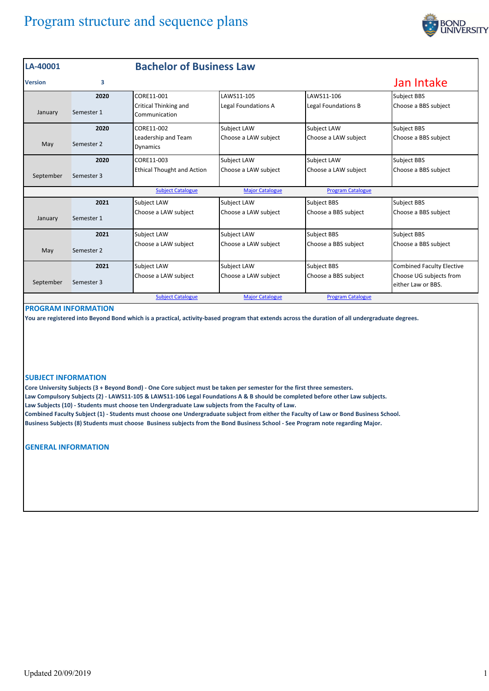# Program structure and sequence plans



| LA-40001       |            | <b>Bachelor of Business Law</b>               |                        |                          |                                               |
|----------------|------------|-----------------------------------------------|------------------------|--------------------------|-----------------------------------------------|
| <b>Version</b> | 3          |                                               |                        |                          | Jan Intake                                    |
|                | 2020       | CORE11-001                                    | LAWS11-105             | LAWS11-106               | Subject BBS                                   |
| January        | Semester 1 | <b>Critical Thinking and</b><br>Communication | Legal Foundations A    | Legal Foundations B      | Choose a BBS subject                          |
|                | 2020       | CORE11-002                                    | Subject LAW            | <b>Subject LAW</b>       | Subject BBS                                   |
| May            | Semester 2 | Leadership and Team<br><b>Dynamics</b>        | Choose a LAW subject   | Choose a LAW subject     | Choose a BBS subject                          |
|                | 2020       | CORE11-003                                    | Subject LAW            | <b>Subject LAW</b>       | Subject BBS                                   |
| September      | Semester 3 | <b>Ethical Thought and Action</b>             | Choose a LAW subject   | Choose a LAW subject     | Choose a BBS subject                          |
|                |            | <b>Subject Catalogue</b>                      | <b>Major Catalogue</b> | <b>Program Catalogue</b> |                                               |
|                | 2021       | <b>Subject LAW</b>                            | Subject LAW            | <b>Subject BBS</b>       | Subject BBS                                   |
| January        | Semester 1 | Choose a LAW subject                          | Choose a LAW subject   | Choose a BBS subject     | Choose a BBS subject                          |
|                | 2021       | <b>Subject LAW</b>                            | <b>Subject LAW</b>     | <b>Subject BBS</b>       | Subject BBS                                   |
| May            | Semester 2 | Choose a LAW subject                          | Choose a LAW subject   | Choose a BBS subject     | Choose a BBS subject                          |
|                | 2021       | <b>Subject LAW</b>                            | Subject LAW            | <b>Subject BBS</b>       | <b>Combined Faculty Elective</b>              |
| September      | Semester 3 | Choose a LAW subject                          | Choose a LAW subject   | Choose a BBS subject     | Choose UG subjects from<br>either Law or BBS. |
|                |            | <b>Subject Catalogue</b>                      | <b>Major Catalogue</b> | <b>Program Catalogue</b> |                                               |

## **PROGRAM INFORMATION**

**You are registered into Beyond Bond which is a practical, activity‐based program that extends across the duration of all undergraduate degrees.** 

#### **SUBJECT INFORMATION**

**Core University Subjects (3 + Beyond Bond) ‐ One Core subject must be taken per semester for the first three semesters. Law Compulsory Subjects (2) ‐ LAWS11‐105 & LAWS11‐106 Legal Foundations A & B should be completed before other Law subjects. Law Subjects (10) ‐ Students must choose ten Undergraduate Law subjects from the Faculty of Law. Combined Faculty Subject (1) ‐ Students must choose one Undergraduate subject from either the Faculty of Law or Bond Business School. Business Subjects (8) Students must choose Business subjects from the Bond Business School ‐ See Program note regarding Major.** 

**GENERAL INFORMATION**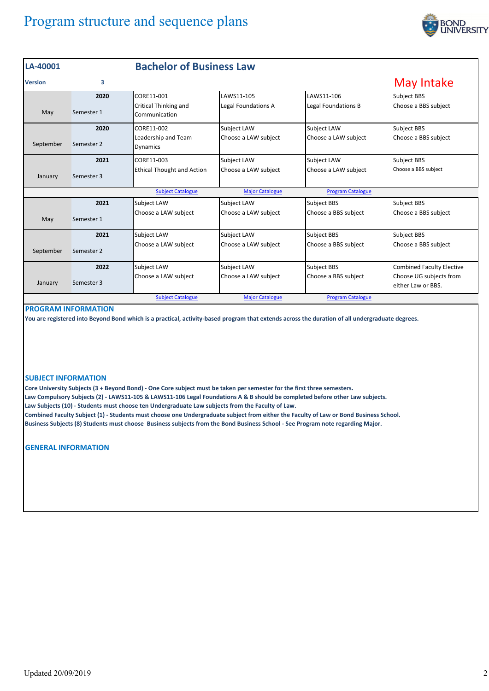# Program structure and sequence plans



| LA-40001       |            | <b>Bachelor of Business Law</b>        |                        |                          |                                               |
|----------------|------------|----------------------------------------|------------------------|--------------------------|-----------------------------------------------|
| <b>Version</b> | 3          |                                        |                        |                          | May Intake                                    |
|                | 2020       | CORE11-001                             | LAWS11-105             | LAWS11-106               | Subject BBS                                   |
| May            | Semester 1 | Critical Thinking and<br>Communication | Legal Foundations A    | Legal Foundations B      | Choose a BBS subject                          |
|                | 2020       | CORE11-002                             | Subject LAW            | Subject LAW              | Subject BBS                                   |
| September      | Semester 2 | Leadership and Team<br><b>Dynamics</b> | Choose a LAW subject   | Choose a LAW subject     | Choose a BBS subject                          |
|                | 2021       | CORE11-003                             | Subject LAW            | Subject LAW              | Subject BBS                                   |
| January        | Semester 3 | <b>Ethical Thought and Action</b>      | Choose a LAW subject   | Choose a LAW subject     | Choose a BBS subject                          |
|                |            | <b>Subject Catalogue</b>               | <b>Major Catalogue</b> | <b>Program Catalogue</b> |                                               |
|                | 2021       | <b>Subject LAW</b>                     | Subject LAW            | <b>Subject BBS</b>       | Subject BBS                                   |
| May            | Semester 1 | Choose a LAW subject                   | Choose a LAW subject   | Choose a BBS subject     | Choose a BBS subject                          |
|                | 2021       | Subject LAW                            | <b>Subject LAW</b>     | <b>Subject BBS</b>       | Subject BBS                                   |
| September      | Semester 2 | Choose a LAW subject                   | Choose a LAW subject   | Choose a BBS subject     | Choose a BBS subject                          |
|                | 2022       | Subject LAW                            | Subject LAW            | <b>Subject BBS</b>       | <b>Combined Faculty Elective</b>              |
| January        | Semester 3 | Choose a LAW subject                   | Choose a LAW subject   | Choose a BBS subject     | Choose UG subjects from<br>either Law or BBS. |
|                |            | <b>Subject Catalogue</b>               | <b>Major Catalogue</b> | <b>Program Catalogue</b> |                                               |

## **PROGRAM INFORMATION**

**You are registered into Beyond Bond which is a practical, activity‐based program that extends across the duration of all undergraduate degrees.** 

### **SUBJECT INFORMATION**

**Core University Subjects (3 + Beyond Bond) ‐ One Core subject must be taken per semester for the first three semesters. Law Compulsory Subjects (2) ‐ LAWS11‐105 & LAWS11‐106 Legal Foundations A & B should be completed before other Law subjects. Law Subjects (10) ‐ Students must choose ten Undergraduate Law subjects from the Faculty of Law. Combined Faculty Subject (1) ‐ Students must choose one Undergraduate subject from either the Faculty of Law or Bond Business School. Business Subjects (8) Students must choose Business subjects from the Bond Business School ‐ See Program note regarding Major.** 

**GENERAL INFORMATION**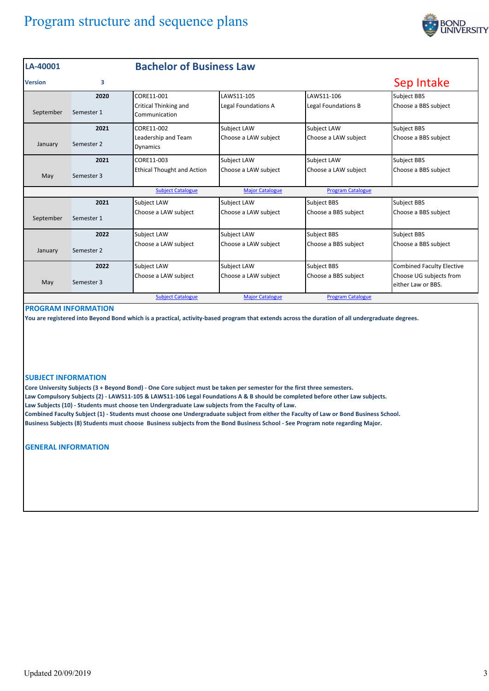# Program structure and sequence plans



| LA-40001       |            | <b>Bachelor of Business Law</b>               |                        |                          |                                               |
|----------------|------------|-----------------------------------------------|------------------------|--------------------------|-----------------------------------------------|
| <b>Version</b> | 3          |                                               |                        |                          | Sep Intake                                    |
|                | 2020       | CORE11-001                                    | LAWS11-105             | LAWS11-106               | Subject BBS                                   |
| September      | Semester 1 | <b>Critical Thinking and</b><br>Communication | Legal Foundations A    | Legal Foundations B      | Choose a BBS subject                          |
|                | 2021       | CORE11-002                                    | Subject LAW            | Subject LAW              | Subject BBS                                   |
| January        | Semester 2 | Leadership and Team<br><b>Dynamics</b>        | Choose a LAW subject   | Choose a LAW subject     | Choose a BBS subject                          |
|                | 2021       | CORE11-003                                    | Subject LAW            | Subject LAW              | Subject BBS                                   |
| May            | Semester 3 | <b>Ethical Thought and Action</b>             | Choose a LAW subject   | Choose a LAW subject     | Choose a BBS subject                          |
|                |            | <b>Subject Catalogue</b>                      | <b>Major Catalogue</b> | <b>Program Catalogue</b> |                                               |
|                | 2021       | <b>Subject LAW</b>                            | Subject LAW            | <b>Subject BBS</b>       | Subject BBS                                   |
| September      | Semester 1 | Choose a LAW subject                          | Choose a LAW subject   | Choose a BBS subject     | Choose a BBS subject                          |
|                | 2022       | <b>Subject LAW</b>                            | Subject LAW            | <b>Subject BBS</b>       | Subject BBS                                   |
| January        | Semester 2 | Choose a LAW subject                          | Choose a LAW subject   | Choose a BBS subject     | Choose a BBS subject                          |
|                | 2022       | <b>Subject LAW</b>                            | Subject LAW            | <b>Subject BBS</b>       | <b>Combined Faculty Elective</b>              |
| May            | Semester 3 | Choose a LAW subject                          | Choose a LAW subject   | Choose a BBS subject     | Choose UG subjects from<br>either Law or BBS. |
|                |            | <b>Subject Catalogue</b>                      | <b>Major Catalogue</b> | <b>Program Catalogue</b> |                                               |

### **PROGRAM INFORMATION**

**You are registered into Beyond Bond which is a practical, activity‐based program that extends across the duration of all undergraduate degrees.** 

#### **SUBJECT INFORMATION**

**Core University Subjects (3 + Beyond Bond) ‐ One Core subject must be taken per semester for the first three semesters. Law Compulsory Subjects (2) ‐ LAWS11‐105 & LAWS11‐106 Legal Foundations A & B should be completed before other Law subjects. Law Subjects (10) ‐ Students must choose ten Undergraduate Law subjects from the Faculty of Law. Combined Faculty Subject (1) ‐ Students must choose one Undergraduate subject from either the Faculty of Law or Bond Business School. Business Subjects (8) Students must choose Business subjects from the Bond Business School ‐ See Program note regarding Major.** 

**GENERAL INFORMATION**